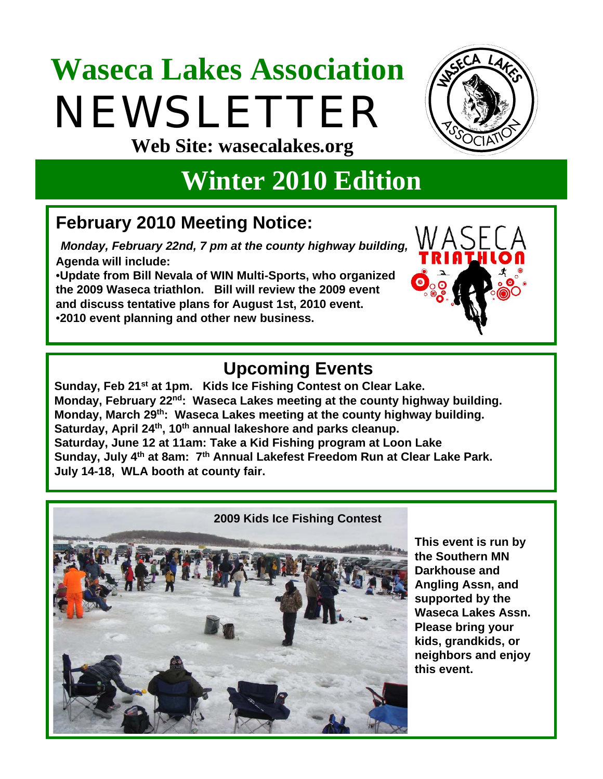# **Waseca Lakes Association**  NEWSLETTER **Web Site: wasecalakes.org**



## **Winter 2010 Edition**

## **February 2010 Meeting Notice:**

*Monday, February 22nd, 7 pm at the county highway building,*  **Agenda will include:** 

•**Update from Bill Nevala of WIN Multi-Sports, who organized the 2009 Waseca triathlon. Bill will review the 2009 event and discuss tentative plans for August 1st, 2010 event.** •**2010 event planning and other new business.**



## **Upcoming Events**

Sunday, Feb 21<sup>st</sup> at 1pm. Kids Ice Fishing Contest on Clear Lake. **Monday, February 22nd: Waseca Lakes meeting at the county highway building. Monday, March 29th: Waseca Lakes meeting at the county highway building.** Saturday, April 24<sup>th</sup>, 10<sup>th</sup> annual lakeshore and parks cleanup. **Saturday, June 12 at 11am: Take a Kid Fishing program at Loon Lake Sunday, July 4th at 8am: 7th Annual Lakefest Freedom Run at Clear Lake Park. July 14-18, WLA booth at county fair.**



**This event is run by the Southern MN Darkhouse and Angling Assn, and supported by the Waseca Lakes Assn. Please bring your kids, grandkids, or neighbors and enjoy this event.**